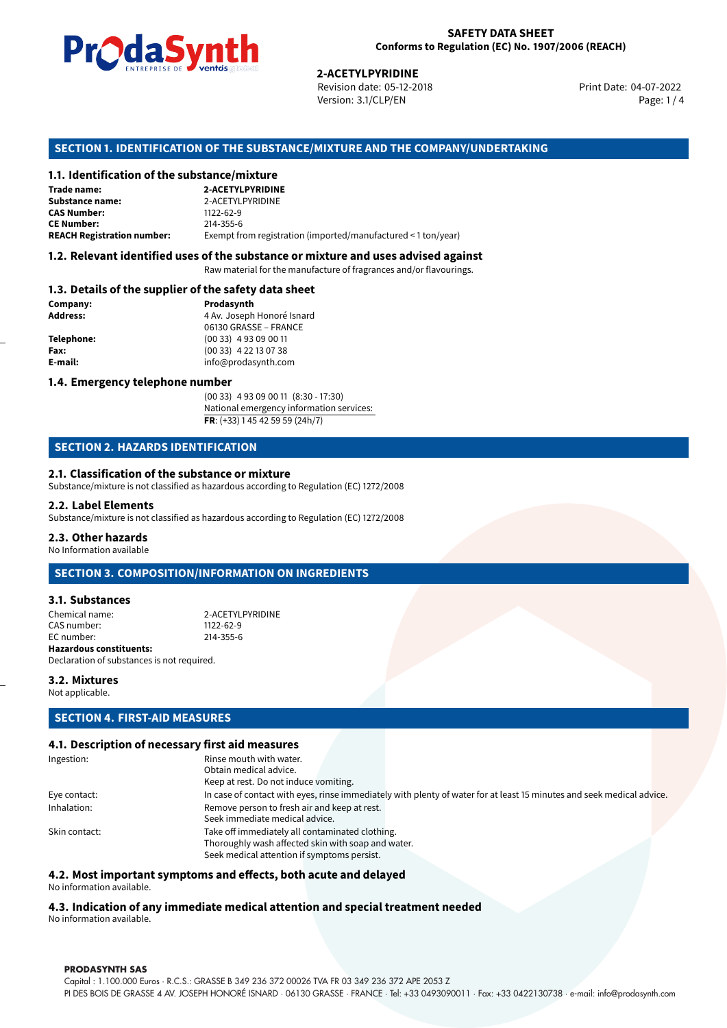

Revision date: 05-12-2018 Version: 3.1/CLP/EN Page: 1 / 4

Print Date: 04-07-2022

# **SECTION 1. IDENTIFICATION OF THE SUBSTANCE/MIXTURE AND THE COMPANY/UNDERTAKING**

### **1.1. Identification of the substance/mixture**

|                                              | LIVING THE DE <b>DE VOINUS</b> SUSSESSI<br><b>2-ACETYLPYRIDINE</b><br>Revision date: 05-12-2018<br>Version: 3.1/CLP/EN |
|----------------------------------------------|------------------------------------------------------------------------------------------------------------------------|
|                                              | SECTION 1. IDENTIFICATION OF THE SUBSTANCE/MIXTURE AND THE COMPANY/U                                                   |
| 1.1. Identification of the substance/mixture |                                                                                                                        |
| Trade name:                                  | <b>2-ACETYLPYRIDINE</b>                                                                                                |
| <b>Substance name:</b>                       | 2-ACETYLPYRIDINE                                                                                                       |
| <b>CAS Number:</b>                           | 1122-62-9                                                                                                              |
| <b>CE Number:</b>                            | 214-355-6                                                                                                              |
| <b>REACH Registration number:</b>            | Exempt from registration (imported/manufactured < 1 ton/year)                                                          |
|                                              |                                                                                                                        |

### **1.2. Relevant identified uses of the substance or mixture and uses advised against**

Raw material for the manufacture of fragrances and/or flavourings.

### **1.3. Details of the supplier of the safety data sheet**

| Company:          | Prodasynth                 |  |
|-------------------|----------------------------|--|
| <b>Address:</b>   | 4 Av. Joseph Honoré Isnard |  |
|                   | 06130 GRASSE - FRANCE      |  |
| <b>Telephone:</b> | $(0033)$ 4 93 09 00 11     |  |
| Fax:              | $(0033)$ 4 22 13 07 38     |  |
| E-mail:           | info@prodasynth.com        |  |
|                   |                            |  |

### **1.4. Emergency telephone number**

(00 33) 4 93 09 00 11 (8:30 - 17:30) National emergency information services: **FR**: (+33) 1 45 42 59 59 (24h/7)

# **SECTION 2. HAZARDS IDENTIFICATION**

### **2.1. Classification of the substance or mixture**

Substance/mixture is not classified as hazardous according to Regulation (EC) 1272/2008

### **2.2. Label Elements**

Substance/mixture is not classified as hazardous according to Regulation (EC) 1272/2008

### **2.3. Other hazards**

No Information available

# **SECTION 3. COMPOSITION/INFORMATION ON INGREDIENTS**

### **3.1. Substances**

| Chemical name:          | 2-ACETYLPYRIDINE |
|-------------------------|------------------|
| CAS number:             | $1122 - 62 - 9$  |
| EC number:              | 214-355-6        |
| Hazardous constituents: |                  |

Declaration of substances is not required.

# **3.2. Mixtures**

Not applicable.

# **SECTION 4. FIRST-AID MEASURES**

### **4.1. Description of necessary first aid measures**

| Ingestion:    | Rinse mouth with water.                                                                                               |
|---------------|-----------------------------------------------------------------------------------------------------------------------|
|               | Obtain medical advice.                                                                                                |
|               | Keep at rest. Do not induce vomiting.                                                                                 |
| Eye contact:  | In case of contact with eyes, rinse immediately with plenty of water for at least 15 minutes and seek medical advice. |
| Inhalation:   | Remove person to fresh air and keep at rest.                                                                          |
|               | Seek immediate medical advice.                                                                                        |
| Skin contact: | Take off immediately all contaminated clothing.                                                                       |
|               | Thoroughly wash affected skin with soap and water.                                                                    |
|               | Seek medical attention if symptoms persist.                                                                           |
|               |                                                                                                                       |

### **4.2. Most important symptoms and effects, both acute and delayed**

No information available.

# **4.3. Indication of any immediate medical attention and special treatment needed**

No information available.

### **PRODASYNTH SAS**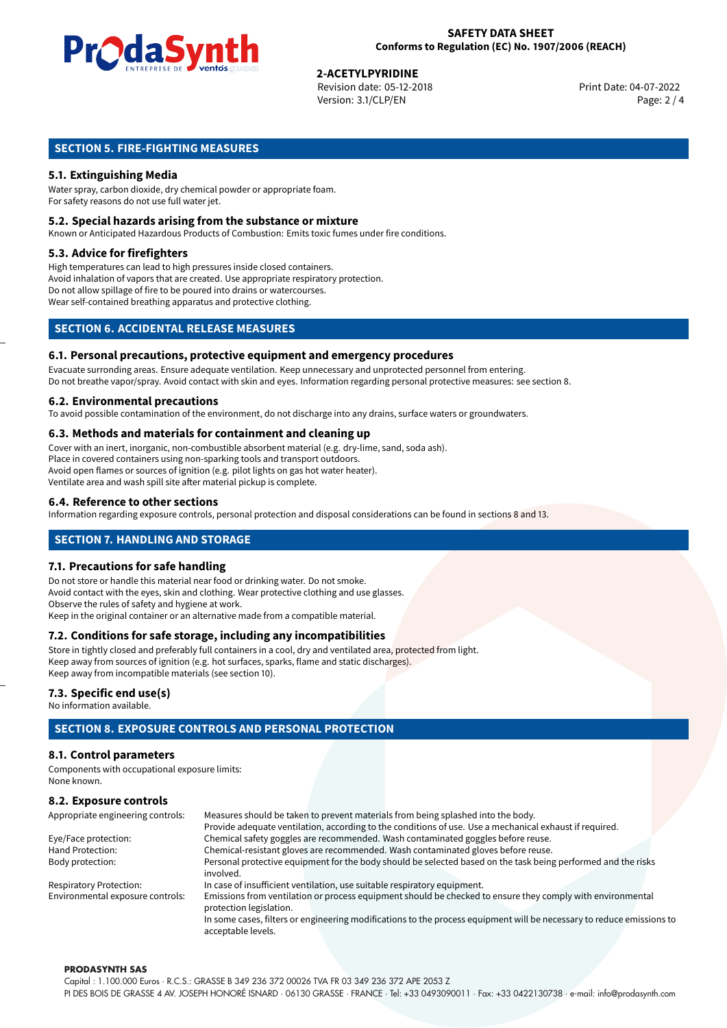

# **2-ACETYLPYRIDINE**<br>
Revision date: 05-12-2018<br> **Print Date: 04-07-2022**

Revision date: 05-12-2018 Version: 3.1/CLP/EN Page: 2 / 4

# **SECTION 5. FIRE-FIGHTING MEASURES**

# **5.1. Extinguishing Media**

Water spray, carbon dioxide, dry chemical powder or appropriate foam. For safety reasons do not use full water jet.

### **5.2. Special hazards arising from the substance or mixture**

Known or Anticipated Hazardous Products of Combustion: Emits toxic fumes under fire conditions.

### **5.3. Advice for firefighters**

High temperatures can lead to high pressures inside closed containers. Avoid inhalation of vapors that are created. Use appropriate respiratory protection. Do not allow spillage of fire to be poured into drains or watercourses. Wear self-contained breathing apparatus and protective clothing.

# **SECTION 6. ACCIDENTAL RELEASE MEASURES**

### **6.1. Personal precautions, protective equipment and emergency procedures**

Evacuate surronding areas. Ensure adequate ventilation. Keep unnecessary and unprotected personnel from entering. Do not breathe vapor/spray. Avoid contact with skin and eyes. Information regarding personal protective measures: see section 8.

### **6.2. Environmental precautions**

To avoid possible contamination of the environment, do not discharge into any drains, surface waters or groundwaters.

### **6.3. Methods and materials for containment and cleaning up**

Cover with an inert, inorganic, non-combustible absorbent material (e.g. dry-lime, sand, soda ash). Place in covered containers using non-sparking tools and transport outdoors. Avoid open flames or sources of ignition (e.g. pilot lights on gas hot water heater). Ventilate area and wash spill site after material pickup is complete.

### **6.4. Reference to other sections**

Information regarding exposure controls, personal protection and disposal considerations can be found in sections 8 and 13.

# **SECTION 7. HANDLING AND STORAGE**

### **7.1. Precautions for safe handling**

Do not store or handle this material near food or drinking water. Do not smoke. Avoid contact with the eyes, skin and clothing. Wear protective clothing and use glasses. Observe the rules of safety and hygiene at work. Keep in the original container or an alternative made from a compatible material.

# **7.2. Conditions for safe storage, including any incompatibilities**

Store in tightly closed and preferably full containers in a cool, dry and ventilated area, protected from light. Keep away from sources of ignition (e.g. hot surfaces, sparks, flame and static discharges). Keep away from incompatible materials (see section 10).

### **7.3. Specific end use(s)**

No information available.

# **SECTION 8. EXPOSURE CONTROLS AND PERSONAL PROTECTION**

### **8.1. Control parameters**

Components with occupational exposure limits: None known.

# **8.2. Exposure controls**

| Appropriate engineering controls: | Measures should be taken to prevent materials from being splashed into the body.                                                            |  |  |
|-----------------------------------|---------------------------------------------------------------------------------------------------------------------------------------------|--|--|
|                                   | Provide adequate ventilation, according to the conditions of use. Use a mechanical exhaust if required.                                     |  |  |
| Eye/Face protection:              | Chemical safety goggles are recommended. Wash contaminated goggles before reuse.                                                            |  |  |
| Hand Protection:                  | Chemical-resistant gloves are recommended. Wash contaminated gloves before reuse.                                                           |  |  |
| Body protection:                  | Personal protective equipment for the body should be selected based on the task being performed and the risks                               |  |  |
|                                   | involved.                                                                                                                                   |  |  |
| <b>Respiratory Protection:</b>    | In case of insufficient ventilation, use suitable respiratory equipment.                                                                    |  |  |
| Environmental exposure controls:  | Emissions from ventilation or process equipment should be checked to ensure they comply with environmental<br>protection legislation.       |  |  |
|                                   | In some cases, filters or engineering modifications to the process equipment will be necessary to reduce emissions to<br>acceptable levels. |  |  |

### **PRODASYNTH SAS**

Capital : 1.100.000 Euros · R.C.S.: GRASSE B 349 236 372 00026 TVA FR 03 349 236 372 APE 2053 Z PI DES BOIS DE GRASSE 4 AV. JOSEPH HONORÉ ISNARD · 06130 GRASSE · FRANCE · Tel: +33 0493090011 · Fax: +33 0422130738 · e-mail: info@prodasynth.com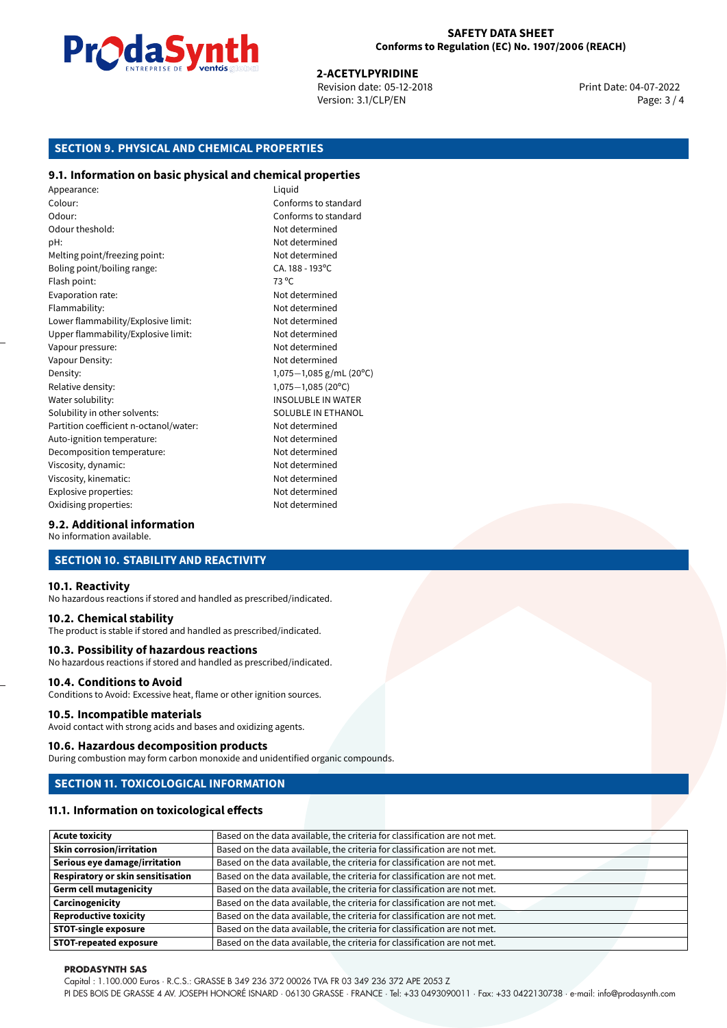

### **SAFETY DATA SHEET Conforms to Regulation (EC) No. 1907/2006 (REACH)**

# **2-ACETYLPYRIDINE**<br>
Revision date: 05-12-2018<br> **Print Date: 04-07-2022**

Revision date: 05-12-2018 Version: 3.1/CLP/EN Page: 3 / 4

# **SECTION 9. PHYSICAL AND CHEMICAL PROPERTIES**

### **9.1. Information on basic physical and chemical properties**

Appearance: Liquid Colour: Conforms to standard Odour: Conforms to standard Odour theshold: Not determined pH: Not determined Melting point/freezing point: Not determined Boling point/boiling range: CA. 188 - 193°C Flash point: 73 °C Evaporation rate: Not determined Flammability: Not determined Lower flammability/Explosive limit: Not determined Upper flammability/Explosive limit: Not determined Vapour pressure: Vapour pressure: Not determined Vapour Density: Not determined Density: 1,075−1,085 g/mL (20°C)<br>Relative density: 1,075−1,085 (20°C) Relative density: 1,075−1,085 (20°C)<br>Water solubility: 1,075−1,085 (20°C) Solubility in other solvents: SOLUBLE IN ETHANOL Partition coefficient n-octanol/water: Not determined Auto-ignition temperature: Not determined Decomposition temperature: Not determined Viscosity, dynamic:  $\blacksquare$ Viscosity, kinematic: Not determined Explosive properties: Not determined Oxidising properties: Not determined

**INSOLUBLE IN WATER** 

### **9.2. Additional information**

No information available.

# **SECTION 10. STABILITY AND REACTIVITY**

### **10.1. Reactivity**

No hazardous reactions if stored and handled as prescribed/indicated.

### **10.2. Chemical stability**

The product is stable if stored and handled as prescribed/indicated.

### **10.3. Possibility of hazardous reactions**

No hazardous reactions if stored and handled as prescribed/indicated.

### **10.4. Conditions to Avoid**

Conditions to Avoid: Excessive heat, flame or other ignition sources.

### **10.5. Incompatible materials**

Avoid contact with strong acids and bases and oxidizing agents.

### **10.6. Hazardous decomposition products**

During combustion may form carbon monoxide and unidentified organic compounds.

### **SECTION 11. TOXICOLOGICAL INFORMATION**

### **11.1. Information on toxicological effects**

| <b>Acute toxicity</b>                    | Based on the data available, the criteria for classification are not met. |
|------------------------------------------|---------------------------------------------------------------------------|
| <b>Skin corrosion/irritation</b>         | Based on the data available, the criteria for classification are not met. |
| Serious eye damage/irritation            | Based on the data available, the criteria for classification are not met. |
| <b>Respiratory or skin sensitisation</b> | Based on the data available, the criteria for classification are not met. |
| <b>Germ cell mutagenicity</b>            | Based on the data available, the criteria for classification are not met. |
| Carcinogenicity                          | Based on the data available, the criteria for classification are not met. |
| <b>Reproductive toxicity</b>             | Based on the data available, the criteria for classification are not met. |
| <b>STOT-single exposure</b>              | Based on the data available, the criteria for classification are not met. |
| <b>STOT-repeated exposure</b>            | Based on the data available, the criteria for classification are not met. |

### **PRODASYNTH SAS**

Capital : 1.100.000 Euros · R.C.S.: GRASSE B 349 236 372 00026 TVA FR 03 349 236 372 APE 2053 Z

PI DES BOIS DE GRASSE 4 AV. JOSEPH HONORÉ ISNARD · 06130 GRASSE · FRANCE · Tel: +33 0493090011 · Fax: +33 0422130738 · e-mail: info@prodasynth.com